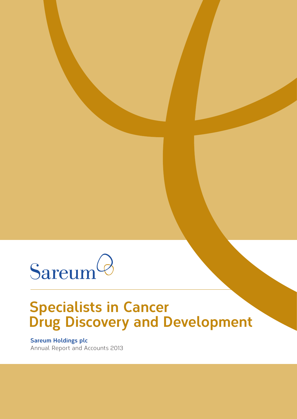

# **Specialists in Cancer Drug Discovery and Development**

### **Sareum Holdings plc**

Annual Report and Accounts 2013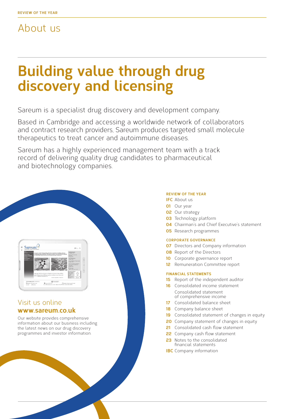### About us

# **Building value through drug discovery and licensing**

Sareum is a specialist drug discovery and development company.

Based in Cambridge and accessing a worldwide network of collaborators and contract research providers, Sareum produces targeted small molecule therapeutics to treat cancer and autoimmune diseases.

Sareum has a highly experienced management team with a track record of delivering quality drug candidates to pharmaceutical and biotechnology companies.

| Sareum<br>Specialists in Cancer Onig Discovery |                                                                                                                                                                                                                 |                                                                                                     | <b>PEAA</b>                     |  |
|------------------------------------------------|-----------------------------------------------------------------------------------------------------------------------------------------------------------------------------------------------------------------|-----------------------------------------------------------------------------------------------------|---------------------------------|--|
| $\alpha$                                       | Samuer's small reolecule drug discovery expertise is building value by<br>developing drug earchtsms, focused on earliest and auto-immune sisered.<br>for linencing to phormansurinal and biotechnology enmances | Lisbig Statuted<br>12 August 2013<br><b>Selective Re Presincal</b>                                  |                                 |  |
| <b>TIME</b><br><b>A STANDS</b><br>with:        |                                                                                                                                                                                                                 | Centres<br>Sina Voting Retta<br>10 Niky, 2012                                                       | ö                               |  |
|                                                |                                                                                                                                                                                                                 | 24 April, 2011<br>InternatiStatement<br><b>REGISTER DE AUMBROSS</b>                                 | ä                               |  |
|                                                |                                                                                                                                                                                                                 | <b>Grass had</b><br>wages 1110 appt inste-                                                          | α                               |  |
|                                                | Least mass about Servicin's province of targeted artist inclusive than conditiones.<br>Laser THC and Autre-FLT3 patent application publications can be accessed.<br>Fast our Exhibitions and News prop-         | <b>SATISFIEL</b><br><b>Nets Time</b><br><b>Senat</b><br>Down.                                       | 145<br>11 3 turn<br>4.17<br>135 |  |
|                                                |                                                                                                                                                                                                                 | James Jamie of Crank Avenue<br>hysenett<br>22 April 2811<br><b>Terrent Notifings</b><br>Day's Ronge | 8192-156                        |  |

### Visit us online **www.sareum.co.uk**

Our website provides comprehensive information about our business including the latest news on our drug discovery programmes and investor information.

### **Review of the year**

- **IFC** About us
- **01** Our year
- **02** Our strategy
- **03** Technology platform
- **04** Chairman's and Chief Executive's statement
- **05** Research programmes

### **Corporate governance**

- **07** Directors and Company information
- **08** Report of the Directors
- **10** Corporate governance report
- **12** Remuneration Committee report

### **Financial statements**

- **15** Report of the independent auditor
- **16** Consolidated income statement Consolidated statement of comprehensive income
- **17** Consolidated balance sheet
- **18** Company balance sheet
- **19** Consolidated statement of changes in equity
- **20** Company statement of changes in equity
- **21** Consolidated cash flow statement
- **22** Company cash flow statement
- **23** Notes to the consolidated financial statements
- **IBC** Company information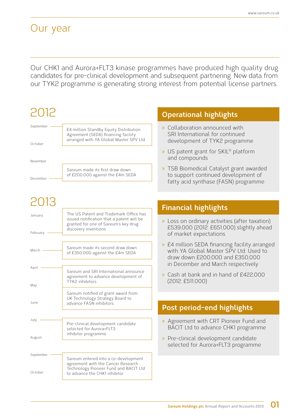## Our year

Our CHK1 and Aurora+FLT3 kinase programmes have produced high quality drug candidates for pre-clinical development and subsequent partnering. New data from our TYK2 programme is generating strong interest from potential license partners.

|                      |                                                                                                                                                     | <b>Operational highlights</b>                                                                                                                                    |
|----------------------|-----------------------------------------------------------------------------------------------------------------------------------------------------|------------------------------------------------------------------------------------------------------------------------------------------------------------------|
| September<br>October | £4 million Standby Equity Distribution<br>Agreement (SEDA) financing facility<br>arranged with YA Global Master SPV Ltd                             | » Collaboration announced with<br>SRI International for continued<br>development of TYK2 programme                                                               |
| November             |                                                                                                                                                     | » US patent grant for SKIL® platform<br>and compounds                                                                                                            |
| December             | Sareum made its first draw down<br>of £200,000 against the £4m SEDA                                                                                 | » TSB Biomedical Catalyst grant awarded<br>to support continued development of<br>fatty acid synthase (FASN) programme                                           |
| 2013                 |                                                                                                                                                     |                                                                                                                                                                  |
|                      |                                                                                                                                                     | <b>Financial highlights</b>                                                                                                                                      |
| January<br>February  | The US Patent and Trademark Office has<br>issued notification that a patent will be<br>granted for one of Sareum's key drug<br>discovery inventions | » Loss on ordinary activities (after taxation)<br>£539,000 (2012: £651,000) slightly ahead<br>of market expectations                                             |
|                      |                                                                                                                                                     |                                                                                                                                                                  |
| March                | Sareum made its second draw down<br>of £350,000 against the £4m SEDA                                                                                | » £4 million SEDA financing facility arranged<br>with YA Global Master SPV Ltd. Used to<br>draw down £200,000 and £350,000<br>in December and March respectively |
| April<br>May         | Sareum and SRI International announce<br>agreement to advance development of<br><b>TYK2</b> inhibitors                                              | » Cash at bank and in hand of £422,000<br>(2012: £511,000)                                                                                                       |
|                      | Sareum notified of grant award from                                                                                                                 |                                                                                                                                                                  |
| June                 | UK Technology Strategy Board to<br>advance FASN inhibitors                                                                                          | Post period-end highlights                                                                                                                                       |
| July                 | Pre-clinical development candidate<br>selected for Aurora+FLT3                                                                                      | » Agreement with CRT Pioneer Fund and<br>BACIT Ltd to advance CHK1 programme                                                                                     |
| August               | inhibitor programme                                                                                                                                 | » Pre-clinical development candidate<br>selected for Aurora+FLT3 programme                                                                                       |
| September            | Sareum entered into a co-development<br>agreement with the Cancer Research                                                                          |                                                                                                                                                                  |
| October              | Technology Pioneer Fund and BACIT Ltd<br>to advance the CHK1 inhibitor                                                                              |                                                                                                                                                                  |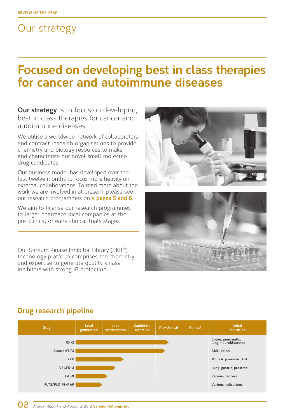### Our strategy

## **Focused on developing best in class therapies for cancer and autoimmune diseases**

**Our strategy** is to focus on developing best in class therapies for cancer and autoimmune diseases.

We utilise a worldwide network of collaborators and contract research organisations to provide chemistry and biology resources to make and characterise our novel small molecule drug candidates.

Our business model has developed over the last twelve months to focus more heavily on external collaborations. To read more about the work we are involved in at present, please see our research programmes on **» pages 5 and 6.**

We aim to license our research programmes to larger pharmaceutical companies at the pre-clinical or early clinical trials stages.

Our Sareum Kinase Inhibitor Library (SKIL®) technology platform comprises the chemistry and expertise to generate quality kinase inhibitors with strong IP protection.







### **Drug research pipeline**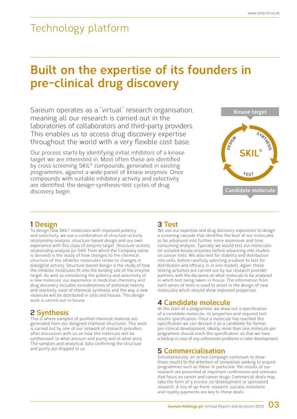## Technology platform

# **Built on the expertise of its founders in pre-clinical drug discovery**

Sareum operates as a "virtual" research organisation, meaning all our research is carried out in the laboratories of collaborators and third-party providers. This enables us to access drug discovery expertise throughout the world with a very flexible cost base.

Our process starts by identifying initial inhibitors of a kinase target we are interested in. Most often these are identified by cross screening SKIL® compounds, generated in existing programmes, against a wide panel of kinase enzymes. Once compounds with suitable inhibitory activity and selectivity are identified, the design-synthesis-test cycles of drug discovery begin.



### **1 Design**

To design new SKIL® molecules with improved potency and selectivity, we use a combination of structure-activity relationship analysis, structure-based design and our own experience with this class of enzyme target. Structure-activity relationship analysis (or SAR, from which the Company name is derived) is the study of how changes to the chemical structure of the inhibitor molecules relate to changes in biological activity. Structure-based design is the study of how the inhibitor molecules fit into the binding site of the enzyme target. As well as considering the potency and selectivity of a new molecule, our experience in medicinal chemistry and drug discovery includes considerations of potential toxicity and reactivity, ease of chemical synthesis and the way a new molecule will be distributed in cells and tissues. This design work is carried out in-house.

### **2 Synthesis**

This is where samples of purified chemical material are generated from our designed chemical structures. This work is carried out by one of our network of research providers, after discussion with us on how the molecule will be synthesised, to what amount and purity and at what price. The samples and analytical data confirming the structure and purity are shipped to us.

### **3 Test**

We use our expertise and drug discovery experience to design a screening cascade that identifies the best of our molecules to be advanced into further, more expensive and time consuming analysis. Typically we would test our molecules on isolated kinase enzymes before advancing into studies on cancer cells. We also test for stability and distribution into cells, before carefully selecting a subset to test for distribution and efficacy in *in vivo* models. Again, these testing activities are carried out by our research provider partners, with the decisions on what molecule to be analysed in which test being taken in-house. The information from each series of tests is used to assist in the design of new molecules which should show improved properties.

### **4 Candidate molecule**

At the start of a programme, we draw out a specification of a candidate molecule: its properties and required test results specification. Once a molecule has reached this specification we can declare it as a candidate for formal pre-clinical development. Ideally, more than one molecule per programme should reach this specification, so that we have a backup in case of any unforeseen problems in later development.

### **5 Commercialisation**

Simultaneously, an active campaign continues to draw these results to the attention of companies seeking to acquire programmes such as these. In particular, the results of our research are presented at important conferences and seminars that focus on cancer and cancer drugs. Commercial deals may take the form of a licence, co-development or sponsored research. A mix of up-front, research, success milestone and royalty payments are key to these deals.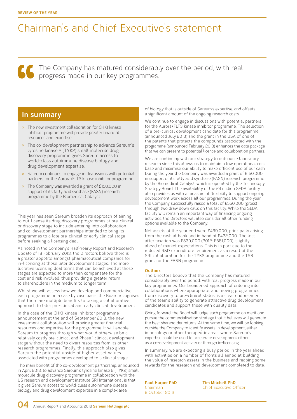## Chairman's and Chief Executive's statement

The Company has matured considerably over the period, with real progress made in our key programmes.

### **In summary**

- » The new investment collaboration for CHK1 kinase inhibitor programme will provide greater financial resources and expertise.
- » The co-development partnership to advance Sareum's tyrosine kinase 2 (TYK2) small molecule drug discovery programme gives Sareum access to world-class autoimmune disease biology and drug development expertise.
- » Sareum continues to engage in discussions with potential partners for the Aurora+FLT3 kinase inhibitor programme.
- » The Company was awarded a grant of £150,000 in support of its fatty acid synthase (FASN) research programme by the Biomedical Catalyst.

This year has seen Sareum broaden its approach of aiming to out-license its drug discovery programmes at pre-clinical or discovery stage to include entering into collaboration and co-development partnerships intended to bring its programmes to a late pre-clinical or early clinical stage before seeking a licensing deal.

As noted in the Company's Half-Yearly Report and Research Update of 18 February 2013, the Directors believe there is a greater appetite amongst pharmaceutical companies for in-licensing at these later development stages. The more lucrative licensing deal terms that can be achieved at these stages are expected to more than compensate for the cost and risk involved, thus providing a greater return to shareholders in the medium to longer term.

Whilst we will assess how we develop and commercialise each programme on a case by case basis, the Board recognises that there are multiple benefits to taking a collaborative approach to later pre-clinical and early clinical development.

In the case of the CHK1 kinase Inhibitor programme announcement at the end of September 2013, the new investment collaboration will provide greater financial resources and expertise for the programme. It will enable Sareum to progress through what would otherwise be a relatively costly pre-clinical and Phase 1 clinical development stage without the need to divert resources from its other research programmes. Finally, this approach also gives Sareum the potential upside of higher asset values associated with programmes developed to a clinical stage.

The main benefit of the co-development partnership, announced in April 2013, to advance Sareum's tyrosine kinase 2 (TYK2) small molecule drug discovery programme in collaboration with the US research and development institute SRI International is that it gives Sareum access to world-class autoimmune disease biology and drug development expertise in a complex area

of biology that is outside of Sareum's expertise, and offsets a significant amount of the ongoing research costs.

We continue to engage in discussions with potential partners for the Aurora+FLT3 kinase inhibitor programme. The selection of a pre-clinical development candidate for this programme (announced July 2013) and the grant in the USA of one of the patents that protects the compounds associated with the programme (announced February 2013) enhances the data package that we can present to potential licence and collaboration partners.

We are continuing with our strategy to outsource laboratory research since this allows us to maintain a low operational cost base and maximise our ability to make efficient use of our cash. During the year the Company was awarded a grant of £150,000 in support of its fatty acid synthase (FASN) research programme by the Biomedical Catalyst, which is operated by the Technology Strategy Board. The availability of the £4 million SEDA facility also provides us with a measure of flexibility to support ongoing development work across all our programmes. During the year the Company successfully raised a total of £550,000 (gross) through two draw down calls on this facility. While the SEDA facility will remain an important way of financing ongoing activities, the Directors will also consider all other funding options available to the Company.

Net assets at the year end were £439,000, principally arising from the cash at bank and in hand of £422,000. The loss after taxation was £539,000 (2012: £651,000), slightly ahead of market expectations. This is in part due to the reduced R&D expenditure requirement as a result of the SRI collaboration for the TYK2 programme and the TSB grant for the FASN programme.

### **Outlook**

The Directors believe that the Company has matured considerably over the period, with real progress made in our key programmes. Our broadened approach of entering into collaborations where appropriate, and moving programmes from discovery to pre-clinical status, is a clear endorsement of the team's ability to generate attractive drug development candidates and support these with quality data.

Going forward, the Board will judge each programme on merit and pursue the commercialisation strategy that it believes will generate the best shareholder returns. At the same time, we will be looking outside the Company to identify assets in development, either in oncology or other therapeutic areas, where Sareum's expertise could be used to accelerate development either as a co-development activity or through in-licensing.

In summary, we are expecting a busy period in the year ahead with activities on a number of fronts all aimed at building the value of research assets in the business and reaping some rewards for the research and development completed to date.

9 October 2013

**Paul Harper PhD Tim Mitchell PhD** Chairman Chief Executive Officer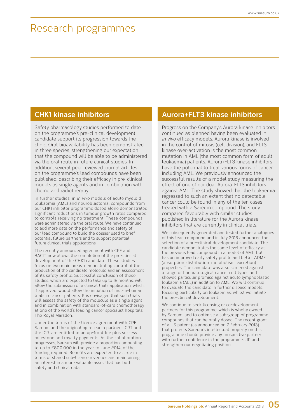### Research programmes

Safety pharmacology studies performed to date on the programme's pre-clinical development candidate support its progression towards the clinic. Oral bioavailability has been demonstrated in three species, strengthening our expectation that the compound will be able to be administered via the oral route in future clinical studies. In addition, several peer reviewed journal articles on the programme's lead compounds have been published, describing their efficacy in pre-clinical models as single agents and in combination with chemo and radiotherapy.

In further studies, in *in vivo* models of acute myeloid leukaemia (AML) and neuroblastoma, compounds from our CHK1 inhibitor programme dosed alone demonstrated significant reductions in tumour growth rates compared to controls receiving no treatment. These compounds were administered via the oral route. We have continued to add more data on the performance and safety of our lead compound to build the dossier used to brief potential future partners and to support potential future clinical trials applications.

The recently announced agreement with CPF and BACIT now allows the completion of the pre-clinical development of the CHK1 candidate. These studies focus on two main areas: demonstrating control of the production of the candidate molecule and an assessment of its safety profile. Successful conclusion of these studies, which are expected to take up to 18 months, will allow the submission of a clinical trials application, which, if approved, would allow the initiation of first-in-human trials in cancer patients. It is envisaged that such trials will assess the safety of the molecule as a single agent and in combination with standard-of-care chemotherapy at one of the world's leading cancer specialist hospitals, The Royal Marsden.

Under the terms of the licence agreement with CPF, Sareum and the originating research partners, CRT and the ICR, are entitled to an up-front fee plus success milestone and royalty payments. As the collaboration progresses, Sareum will provide a proportion, amounting to up to £800,000 in the year to June 2014, of the funding required. Benefits are expected to accrue in terms of shared sub-licence revenues and maintaining an interest in a more valuable asset that has both safety and clinical data.

### **CHK1 kinase inhibitors Aurora+FLT3 kinase inhibitors**

Progress on the Company's Aurora kinase inhibitors continued as planned having been evaluated in *in vivo* efficacy models. Aurora kinase is involved in the control of mitosis (cell division), and FLT3 kinase over-activation is the most common mutation in AML (the most common form of adult leukaemia) patients. Aurora+FLT3 kinase inhibitors have the potential to treat various forms of cancer, including AML. We previously announced the successful results of a model study measuring the effect of one of our dual Aurora+FLT3 inhibitors against AML. The study showed that the leukaemia regressed to such an extent that no detectable cancer could be found in any of the ten cases treated with a Sareum compound. The study compared favourably with similar studies published in literature for the Aurora kinase inhibitors that are currently in clinical trials.

We subsequently generated and tested further analogues of this lead compound and in July 2013 announced the selection of a pre-clinical development candidate. The candidate demonstrates the same level of efficacy as the previous lead compound in a model of AML, but has an improved early safety profile and better ADME (absorption, distribution, metabolism, excretion) properties. The candidate was also screened against a range of haematological cancer cell types and showed particular promise against acute lymphoblastic leukaemia (ALL) in addition to AML. We will continue to evaluate the candidate in further disease models, focusing particularly on leukaemias, whilst we initiate the pre-clinical development.

We continue to seek licensing or co-development partners for this programme, which is wholly owned by Sareum, and to optimise a sub-group of programme compounds that can be orally dosed. The recent grant of a US patent (as announced on 7 February 2013) that protects Sareum's intellectual property on this programme should provide any prospective partner with further confidence in the programme's IP and strengthen our negotiating position.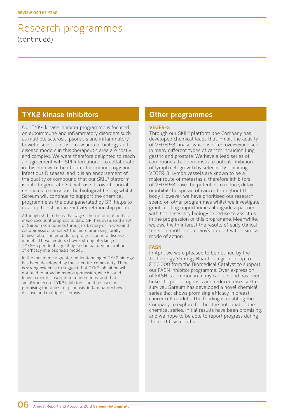### Research programmes (continued)

### **TYK2 kinase inhibitors**

Our TYK2 kinase inhibitor programme is focused on autoimmune and inflammatory disorders such as multiple sclerosis, psoriasis and inflammatory bowel disease. This is a new area of biology and disease models in this therapeutic area are costly and complex. We were therefore delighted to reach an agreement with SRI International to collaborate in this area with their Center for Immunology and Infectious Diseases, and it is an endorsement of the quality of compound that our SKIL® platform is able to generate. SRI will use its own financial resources to carry out the biological testing whilst Sareum will continue to support the chemical programme as the data generated by SRI helps to develop the structure-activity relationship profile.

Although still in the early stages, the collaboration has made excellent progress to date. SRI has evaluated a set of Sareum compounds through a battery of *in vitro* and cellular assays to select the more promising, orally bioavailable compounds for progression into disease models. These models show a strong blocking of TYK2-dependent signalling and initial demonstrations of efficacy in a psoriasis model.

In the meantime a greater understanding of TYK2 biology has been developed by the scientific community. There is strong evidence to suggest that TYK2 inhibition will not lead to broad immunosuppression, which could leave patients susceptible to infections, and that small-molecule TYK2 inhibitors could be used as promising therapies for psoriasis, inflammatory bowel disease and multiple sclerosis.

### **Other programmes**

### **VEGFR-3**

Through our SKIL® platform, the Company has developed chemical leads that inhibit the activity of VEGFR-3 kinase, which is often over-expressed in many different types of cancer including lung, gastric and prostate. We have a lead series of compounds that demonstrate potent inhibition of lymph cell growth by selectively inhibiting VEGFR-3. Lymph vessels are known to be a major route of metastasis, therefore inhibitors of VEGFR-3 have the potential to reduce, delay or inhibit the spread of cancer throughout the body. However, we have prioritised our research spend on other programmes whilst we investigate grant funding opportunities alongside a partner with the necessary biology expertise to assist us in the progression of this programme. Meanwhile, we await with interest the results of early clinical trials on another company's product with a similar mode of action.

### **FASN**

In April we were pleased to be notified by the Technology Strategy Board of a grant of up to £150,000 from the Biomedical Catalyst to support our FASN inhibitor programme. Over-expression of FASN is common in many cancers and has been linked to poor prognosis and reduced disease-free survival. Sareum has developed a novel chemical series that shows promising efficacy in breast cancer cell models. The funding is enabling the Company to explore further the potential of the chemical series. Initial results have been promising, and we hope to be able to report progress during the next few months.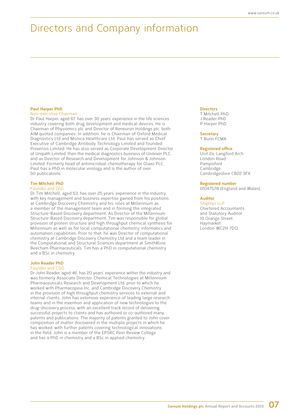## Directors and Company information

### **Paul Harper PhD**

#### Non-executive Chairman

Dr Paul Harper, aged 67, has over 30 years' experience in the life sciences industry covering both drug development and medical devices. He is Chairman of Physiomics plc and Director of Reneuron Holdings plc, both AIM quoted companies. In addition, he is Chairman of Oxford Medical Diagnostics Ltd and Monica Healthcare Ltd. Paul has served as Chief Executive of Cambridge Antibody Technology Limited and founded Provensis Limited. He has also served as Corporate Development Director of Unipath Limited, then the medical diagnostics business of Unilever PLC, and as Director of Research and Development for Johnson & Johnson Limited. Formerly head of antimicrobial chemotherapy for Glaxo PLC, Paul has a PhD in molecular virology and is the author of over 50 publications.

### **Tim Mitchell PhD**

#### Founder and CEO

Dr Tim Mitchell, aged 53, has over 25 years' experience in the industry with key management and business expertise gained from his positions at Cambridge Discovery Chemistry and his roles at Millennium as a member of the management team and in forming the integrated Structure-Based Discovery department. As Director of the Millennium Structure-Based Discovery department, Tim was responsible for global provision of protein structure and high throughput chemical synthesis for Millennium as well as for local computational chemistry, informatics and automation capabilities. Prior to that, he was Director of computational chemistry at Cambridge Discovery Chemistry Ltd and a team leader in the Computational and Structural Sciences department at SmithKline Beecham Pharmaceuticals. Tim has a PhD in computational chemistry and a BSc in chemistry.

### **John Reader PhD**

### Founder and CSO

Dr John Reader, aged 46, has 20 years' experience within the industry and was formerly Associate Director, Chemical Technologies at Millennium Pharmaceuticals Research and Development Ltd, prior to which he worked with Pharmacopeia Inc. and Cambridge Discovery Chemistry in the provision of high throughput chemistry services to external and internal clients. John has extensive experience of leading large research teams and in the invention and application of new technologies to the drug-discovery process, with an excellent track record of delivering successful projects to clients and has authored or co-authored many patents and publications. The majority of patents granted to John cover composition of matter discovered in the multiple projects in which he has worked, with further patents covering technological innovations in the field. John is a member of the EPSRC Peer Review College and has a PhD in chemistry and a BSc in applied chemistry.

#### **Directors**

T Mitchell PhD J Reader PhD P Harper PhD

### **Secretary** T Bunn FCMA

### **Registered office**

Unit 2a, Langford Arch London Road Pampisford Cambridge Cambridgeshire CB22 3FX

#### **Registered number**

05147578 (England and Wales)

### **Auditor**

Shipleys LLP Chartered Accountants and Statutory Auditor 10 Orange Street Haymarket London WC2H 7DQ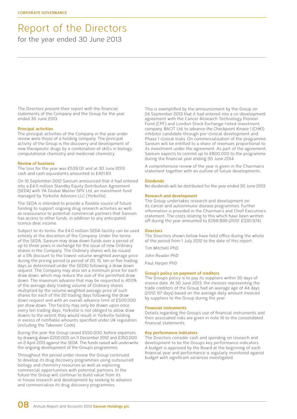# Report of the Directors

for the year ended 30 June 2013

The Directors present their report with the financial statements of the Company and the Group for the year ended 30 June 2013.

### **Principal activities**

The principal activities of the Company in the year under review were those of a holding company. The principal activity of the Group is the discovery and development of new therapeutic drugs by a combination of skills in biology, computational chemistry and medicinal chemistry.

#### **Review of business**

The loss for the year was £539,131 and at 30 June 2013 cash and cash equivalents amounted to £421,611.

On 10 September 2012 Sareum announced that it had entered into a £4.0 million Standby Equity Distribution Agreement (SEDA) with YA Global Master SPV Ltd, an investment fund managed by Yorkville Advisors LLC (Yorkville).

The SEDA is intended to provide a flexible source of future funding to support ongoing drug research activities as well as reassurance to potential commercial partners that Sareum has access to other funds, in addition to any anticipated licence deal income.

Subject to its terms, the £4.0 million SEDA facility can be used entirely at the discretion of the Company. Under the terms of the SEDA, Sareum may draw down funds over a period of up to three years in exchange for the issue of new Ordinary shares in the Company. The Ordinary shares will be issued at a 5% discount to the lowest volume weighted average price during the pricing period (a period of 20, 15, ten or five trading days as determined under the SEDA) following a draw down request. The Company may also set a minimum price for each draw down, which may reduce the size of the permitted draw down. The maximum advance that may be requested is 400% of the average daily trading volume of Ordinary shares multiplied by the volume weighted average price of such shares for each of the 20 trading days following the draw down request and with an overall advance limit of £500,000 per draw down. The facility may only be drawn upon once every ten trading days. Yorkville is not obliged to allow draw downs to the extent they would result in Yorkville holding in excess of notifiable amounts specified under UK regulation (including the Takeover Code).

During the year the Group raised £550,000, before expenses, by drawing down £200,000 on 11 December 2012 and £350,000 on 2 April 2013 against the SEDA. The funds raised will underwrite the ongoing development of the Group's programmes.

Throughout the period under review the Group continued to develop its drug discovery programmes using outsourced biology and chemistry resources as well as exploring commercial opportunities with potential partners. In the future the Group will continue to build value from its in-house research and development by seeking to advance and commercialise its drug discovery programmes.

This is exemplified by the announcement by the Group on 24 September 2013 that it had entered into a co-development agreement with the Cancer Research Technology Pioneer Fund (CPF) and London Stock Exchange-listed investment company, BACIT Ltd, to advance the Checkpoint Kinase 1 (CHK1) inhibitor candidate through pre-clinical development and Phase 1 clinical trials. On commercialisation of the programme, Sareum will be entitled to a share of revenues proportional to its investment under the agreement. As part of the agreement, Sareum expects to commit up to £800,000 to the programme during the financial year ending 30 June 2014.

A comprehensive review of the year is given in the Chairman's statement together with an outline of future developments.

#### **Dividends**

No dividends will be distributed for the year ended 30 June 2013.

#### **Research and development**

The Group undertakes research and development on its cancer and autoimmune disease programmes. Further information is provided in the Chairman's and Chief Executive's statement. The costs relating to this which have been written off during the year amounted to £266,899 (2012: £330,974).

#### **Directors**

The Directors shown below have held office during the whole of the period from 1 July 2012 to the date of this report:

Tim Mitchell PhD

John Reader PhD

Paul Harper PhD

#### **Group's policy on payment of creditors**

The Group's policy is to pay its suppliers within 30 days of invoice date. At 30 June 2013, the invoices representing the trade creditors of the Group had an average age of 44 days (2012: 67 days) based on the average daily amount invoiced by suppliers to the Group during the year.

#### **Financial instruments**

Details regarding the Group's use of financial instruments and their associated risks are given in note 16 to the consolidated financial statements.

#### **Key performance indicators**

The Directors consider cash and spending on research and development to be the Group's key performance indicators. A budget is approved by the Board at the beginning of each financial year and performance is regularly monitored against budget with significant variances investigated.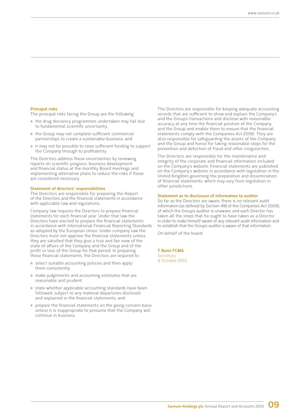### **Principal risks**

The principal risks facing the Group are the following:

- **»** the drug discovery programmes undertaken may fail due to fundamental scientific uncertainty;
- **»** the Group may not complete sufficient commercial partnerships to create a sustainable business; and
- **»** it may not be possible to raise sufficient funding to support the Company through to profitability.

The Directors address these uncertainties by reviewing reports on scientific progress, business development and financial status at the monthly Board meetings and implementing alternative plans to reduce the risks if these are considered necessary.

### **Statement of directors' responsibilities**

The Directors are responsible for preparing the Report of the Directors and the financial statements in accordance with applicable law and regulations.

Company law requires the Directors to prepare financial statements for each financial year. Under that law the Directors have elected to prepare the financial statements in accordance with International Financial Reporting Standards as adopted by the European Union. Under company law the Directors must not approve the financial statements unless they are satisfied that they give a true and fair view of the state of affairs of the Company and the Group and of the profit or loss of the Group for that period. In preparing these financial statements, the Directors are required to:

- **»** select suitable accounting policies and then apply them consistently;
- **»** make judgements and accounting estimates that are reasonable and prudent;
- **»** state whether applicable accounting standards have been followed, subject to any material departures disclosed and explained in the financial statements; and
- **»** prepare the financial statements on the going concern basis unless it is inappropriate to presume that the Company will continue in business.

The Directors are responsible for keeping adequate accounting records that are sufficient to show and explain the Company's and the Group's transactions and disclose with reasonable accuracy at any time the financial position of the Company and the Group and enable them to ensure that the financial statements comply with the Companies Act 2006. They are also responsible for safeguarding the assets of the Company and the Group and hence for taking reasonable steps for the prevention and detection of fraud and other irregularities.

The Directors are responsible for the maintenance and integrity of the corporate and financial information included on the Company's website. Financial statements are published on the Company's website in accordance with legislation in the United Kingdom governing the preparation and dissemination of financial statements, which may vary from legislation in other jurisdictions.

#### **Statement as to disclosure of information to auditor**

So far as the Directors are aware, there is no relevant audit information (as defined by Section 418 of the Companies Act 2006) of which the Group's auditor is unaware, and each Director has taken all the steps that he ought to have taken as a Director in order to make himself aware of any relevant audit information and to establish that the Group's auditor is aware of that information.

On behalf of the board:

**T Bunn FCMA Secretary** 

9 October 2013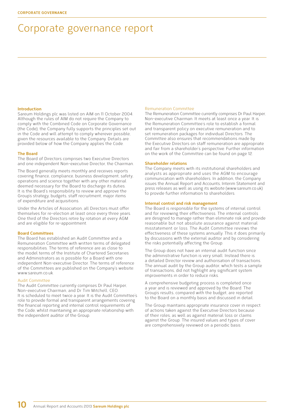### Corporate governance report

#### **Introduction**

Sareum Holdings plc was listed on AIM on 11 October 2004. Although the rules of AIM do not require the Company to comply with the Combined Code on Corporate Governance (the Code), the Company fully supports the principles set out in the Code and will attempt to comply wherever possible, given the resources available to the Company. Details are provided below of how the Company applies the Code.

### **The Board**

The Board of Directors comprises two Executive Directors and one independent Non-executive Director, the Chairman.

The Board generally meets monthly and receives reports covering finance, compliance, business development, safety, operations and science together with any other material deemed necessary for the Board to discharge its duties. It is the Board's responsibility to review and approve the Group's strategy, budgets, staff recruitment, major items of expenditure and acquisitions.

Under the Articles of Association, all Directors must offer themselves for re-election at least once every three years. One third of the Directors retire by rotation at every AGM and are eligible for re-appointment.

### **Board Committees**

The Board has established an Audit Committee and a Remuneration Committee with written terms of delegated responsibilities. The terms of reference are as close to the model terms of the Institute of Chartered Secretaries and Administrators as is possible for a Board with one independent Non-executive Director. The terms of reference of the Committees are published on the Company's website: www.sareum.co.uk.

### Audit Committee

The Audit Committee currently comprises Dr Paul Harper, Non-executive Chairman, and Dr Tim Mitchell, CEO. It is scheduled to meet twice a year. It is the Audit Committee's role to provide formal and transparent arrangements covering the financial reporting and internal control requirements of the Code, whilst maintaining an appropriate relationship with the independent auditor of the Group.

#### Remuneration Committee

The Remuneration Committee currently comprises Dr Paul Harper, Non-executive Chairman. It meets at least once a year. It is the Remuneration Committee's role to establish a formal and transparent policy on executive remuneration and to set remuneration packages for individual Directors. The Committee also ensures that recommendations made by the Executive Directors on staff remuneration are appropriate and fair from a shareholder's perspective. Further information on the work of the Committee can be found on page 12.

#### **Shareholder relations**

The Company meets with its institutional shareholders and analysts as appropriate and uses the AGM to encourage communication with shareholders. In addition, the Company issues the Annual Report and Accounts, Interim Statement and press releases as well as using its website (www.sareum.co.uk) to provide further information to shareholders.

### **Internal control and risk management**

The Board is responsible for the systems of internal control and for reviewing their effectiveness. The internal controls are designed to manage rather than eliminate risk and provide reasonable but not absolute assurance against material misstatement or loss. The Audit Committee reviews the effectiveness of these systems annually. This it does primarily by discussions with the external auditor and by considering the risks potentially affecting the Group.

The Group does not have an internal audit function since the administrative function is very small. Instead there is a detailed Director review and authorisation of transactions. The annual audit by the Group auditor, which tests a sample of transactions, did not highlight any significant system improvements in order to reduce risks.

A comprehensive budgeting process is completed once a year and is reviewed and approved by the Board. The Group's results, compared with the budget, are reported to the Board on a monthly basis and discussed in detail.

The Group maintains appropriate insurance cover in respect of actions taken against the Executive Directors because of their roles, as well as against material loss or claims against the Group. The insured values and types of cover are comprehensively reviewed on a periodic basis.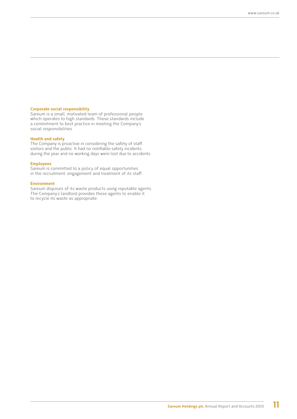### **Corporate social responsibility**

Sareum is a small, motivated team of professional people which operates to high standards. These standards include a commitment to best practice in meeting the Company's social responsibilities.

### **Health and safety**

The Company is proactive in considering the safety of staff, visitors and the public. It had no notifiable safety incidents during the year and no working days were lost due to accidents.

### **Employees**

Sareum is committed to a policy of equal opportunities in the recruitment, engagement and treatment of its staff.

### **Environment**

Sareum disposes of its waste products using reputable agents. The Company's landlord provides these agents to enable it to recycle its waste as appropriate.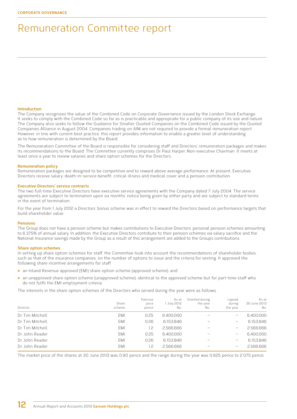### Remuneration Committee report

#### **Introduction**

The Company recognises the value of the Combined Code on Corporate Governance issued by the London Stock Exchange. It seeks to comply with the Combined Code so far as is practicable and appropriate for a public company of its size and nature. The Company also seeks to follow the Guidance for Smaller Quoted Companies on the Combined Code issued by the Quoted Companies Alliance in August 2004. Companies trading on AIM are not required to provide a formal remuneration report. However, in line with current best practice, this report provides information to enable a greater level of understanding as to how remuneration is determined by the Board.

The Remuneration Committee of the Board is responsible for considering staff and Directors' remuneration packages and makes its recommendations to the Board. The Committee currently comprises Dr Paul Harper, Non-executive Chairman. It meets at least once a year to review salaries and share option schemes for the Directors.

### **Remuneration policy**

Remuneration packages are designed to be competitive and to reward above average performance. At present, Executive Directors receive salary, death-in-service benefit, critical illness and medical cover and a pension contribution.

#### **Executive Directors' service contracts**

The two full-time Executive Directors have executive service agreements with the Company dated 7 July 2004. The service agreements are subject to termination upon six months' notice being given by either party and are subject to standard terms in the event of termination.

For the year from 1 July 2012 a Directors' bonus scheme was in effect to reward the Directors based on performance targets that build shareholder value.

### **Pensions**

The Group does not have a pension scheme but makes contributions to Executive Directors' personal pension schemes amounting to 6.375% of annual salary. In addition, the Executive Directors contribute to their pension schemes via salary sacrifice and the National Insurance savings made by the Group as a result of this arrangement are added to the Group's contributions.

### **Share option schemes**

In setting up share option schemes for staff, the Committee took into account the recommendations of shareholder bodies, such as that of the insurance companies, on the number of options to issue and the criteria for vesting. It approved the following share incentive arrangements for staff:

- **»** an Inland Revenue approved (EMI) share option scheme (approved scheme); and
- **»** an unapproved share option scheme (unapproved scheme), identical to the approved scheme but for part-time staff who do not fulfil the EMI employment criteria.

The interests in the share option schemes of the Directors who served during the year were as follows:

| Director        | Share<br>scheme | Exercise<br>price<br>pence | As at<br>1 July 2012<br>No. | Granted during<br>the year<br>No. | Lapsed<br>during<br>the year | As at<br>30 June 2013<br>No. |
|-----------------|-----------------|----------------------------|-----------------------------|-----------------------------------|------------------------------|------------------------------|
| Dr Tim Mitchell | EMI             | 0.25                       | 6,400,000                   |                                   | $\qquad \qquad -$            | 6,400,000                    |
| Dr Tim Mitchell | EMI             | 0.26                       | 6.153.846                   |                                   | $\overline{\phantom{0}}$     | 6.153.846                    |
| Dr Tim Mitchell | EMI             | 1.2                        | 2.566.666                   |                                   | $\qquad \qquad -$            | 2.566.666                    |
| Dr John Reader  | <b>EMI</b>      | 0.25                       | 6,400,000                   |                                   | $\overline{\phantom{0}}$     | 6,400,000                    |
| Dr John Reader  | EMI             | 0.26                       | 6.153.846                   |                                   | $\overline{\phantom{m}}$     | 6.153.846                    |
| Dr John Reader  | EMI             | 1.2                        | 2.566.666                   |                                   | $\overline{\phantom{0}}$     | 2.566.666                    |

The market price of the shares at 30 June 2013 was 0.90 pence and the range during the year was 0.625 pence to 2.075 pence.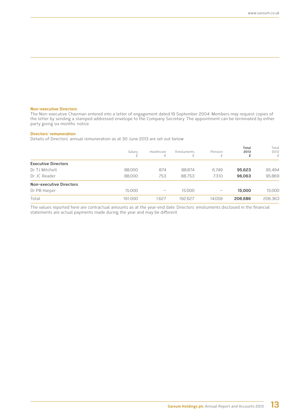### **Non-executive Directors**

The Non-executive Chairman entered into a letter of engagement dated 19 September 2004. Members may request copies of the letter by sending a stamped addressed envelope to the Company Secretary. The appointment can be terminated by either party giving six months' notice.

### **Directors' remuneration**

Details of Directors' annual remuneration as at 30 June 2013 are set out below:

|                                | Salarv  | Healthcare<br>£   | Emoluments<br>£. | Pension<br>£      | Total<br>2013<br>£ | Total<br>2012<br>£ |
|--------------------------------|---------|-------------------|------------------|-------------------|--------------------|--------------------|
| <b>Executive Directors</b>     |         |                   |                  |                   |                    |                    |
| Dr TJ Mitchell                 | 88,000  | 874               | 88.874           | 6.749             | 95,623             | 95,494             |
| Dr JC Reader                   | 88,000  | 753               | 88.753           | 7.310             | 96,063             | 95,869             |
| <b>Non-executive Directors</b> |         |                   |                  |                   |                    |                    |
| Dr PB Harper                   | 15.000  | $\qquad \qquad -$ | 15,000           | $\qquad \qquad -$ | 15,000             | 15,000             |
| Total                          | 191,000 | 1.627             | 192.627          | 14.059            | 206,686            | 206,363            |

The values reported here are contractual amounts as at the year-end date. Directors' emoluments disclosed in the financial statements are actual payments made during the year and may be different.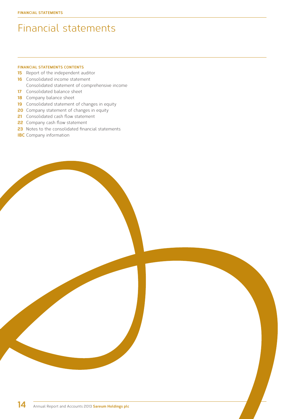## Financial statements

### **Financial statements contents**

- Report of the independent auditor
- Consolidated income statement Consolidated statement of comprehensive income
- Consolidated balance sheet
- Company balance sheet
- Consolidated statement of changes in equity
- Company statement of changes in equity
- Consolidated cash flow statement
- Company cash flow statement
- Notes to the consolidated financial statements
- **IBC** Company information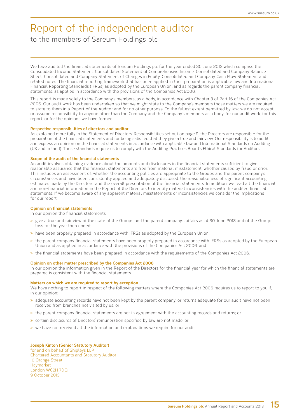## Report of the independent auditor

to the members of Sareum Holdings plc

We have audited the financial statements of Sareum Holdings plc for the year ended 30 June 2013 which comprise the Consolidated Income Statement, Consolidated Statement of Comprehensive Income, Consolidated and Company Balance Sheet, Consolidated and Company Statement of Changes in Equity, Consolidated and Company Cash Flow Statement and related notes. The financial reporting framework that has been applied in their preparation is applicable law and International Financial Reporting Standards (IFRSs) as adopted by the European Union, and as regards the parent company financial statements, as applied in accordance with the provisions of the Companies Act 2006.

This report is made solely to the Company's members, as a body, in accordance with Chapter 3 of Part 16 of the Companies Act 2006. Our audit work has been undertaken so that we might state to the Company's members those matters we are required to state to them in a Report of the Auditor and for no other purpose. To the fullest extent permitted by law, we do not accept or assume responsibility to anyone other than the Company and the Company's members as a body, for our audit work, for this report, or for the opinions we have formed.

### **Respective responsibilities of directors and auditor**

As explained more fully in the Statement of Directors' Responsibilities set out on page 9, the Directors are responsible for the preparation of the financial statements and for being satisfied that they give a true and fair view. Our responsibility is to audit and express an opinion on the financial statements in accordance with applicable law and International Standards on Auditing (UK and Ireland). Those standards require us to comply with the Auditing Practices Board's Ethical Standards for Auditors.

### **Scope of the audit of the financial statements**

An audit involves obtaining evidence about the amounts and disclosures in the financial statements sufficient to give reasonable assurance that the financial statements are free from material misstatement, whether caused by fraud or error. This includes an assessment of: whether the accounting policies are appropriate to the Group's and the parent company's circumstances and have been consistently applied and adequately disclosed; the reasonableness of significant accounting estimates made by the Directors; and the overall presentation of the financial statements. In addition, we read all the financial and non-financial information in the Report of the Directors to identify material inconsistencies with the audited financial statements. If we become aware of any apparent material misstatements or inconsistencies we consider the implications for our report.

### **Opinion on financial statements**

In our opinion the financial statements:

- **»** give a true and fair view of the state of the Group's and the parent company's affairs as at 30 June 2013 and of the Group's loss for the year then ended;
- **»** have been properly prepared in accordance with IFRSs as adopted by the European Union;
- **»** the parent company financial statements have been properly prepared in accordance with IFRSs as adopted by the European Union and as applied in accordance with the provisions of the Companies Act 2006; and
- **»** the financial statements have been prepared in accordance with the requirements of the Companies Act 2006.

### **Opinion on other matter prescribed by the Companies Act 2006**

In our opinion the information given in the Report of the Directors for the financial year for which the financial statements are prepared is consistent with the financial statements.

### **Matters on which we are required to report by exception**

We have nothing to report in respect of the following matters where the Companies Act 2006 requires us to report to you if, in our opinion:

- **»** adequate accounting records have not been kept by the parent company, or returns adequate for our audit have not been received from branches not visited by us; or
- **»** the parent company financial statements are not in agreement with the accounting records and returns; or
- **»** certain disclosures of Directors' remuneration specified by law are not made; or
- **»** we have not received all the information and explanations we require for our audit.

### **Joseph Kinton (Senior Statutory Auditor)**

for and on behalf of Shipleys LLP Chartered Accountants and Statutory Auditor 10 Orange Street Haymarket London WC2H 7DQ 9 October 2013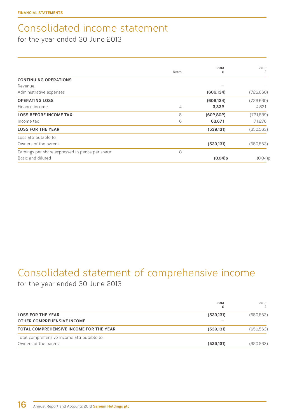## Consolidated income statement

for the year ended 30 June 2013

|                                                  |                | 2013       | 2012       |
|--------------------------------------------------|----------------|------------|------------|
|                                                  | Notes          | £          | £          |
| <b>CONTINUING OPERATIONS</b>                     |                |            |            |
| Revenue                                          |                |            |            |
| Administrative expenses                          |                | (606, 134) | (726, 660) |
| <b>OPERATING LOSS</b>                            |                | (606, 134) | (726,660)  |
| Finance income                                   | $\overline{4}$ | 3,332      | 4,821      |
| <b>LOSS BEFORE INCOME TAX</b>                    | 5              | (602, 802) | (721, 839) |
| Income tax                                       | 6              | 63,671     | 71.276     |
| <b>LOSS FOR THE YEAR</b>                         |                | (539, 131) | (650, 563) |
| Loss attributable to:                            |                |            |            |
| Owners of the parent                             |                | (539, 131) | (650, 563) |
| Earnings per share expressed in pence per share: | 8              |            |            |
| Basic and diluted                                |                | (0.04)p    | (0.04)p    |

# Consolidated statement of comprehensive income

|                                                                     | 2013       | 2012       |
|---------------------------------------------------------------------|------------|------------|
| <b>LOSS FOR THE YEAR</b><br><b>OTHER COMPREHENSIVE INCOME</b>       | (539, 131) | (650, 563) |
| <b>TOTAL COMPREHENSIVE INCOME FOR THE YEAR</b>                      | (539, 131) | (650, 563) |
| Total comprehensive income attributable to:<br>Owners of the parent | (539, 131) | (650, 563) |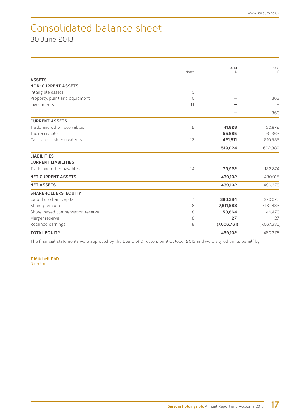# Consolidated balance sheet

30 June 2013

|                                  | Notes | 2013<br>£   | 2012<br>£   |
|----------------------------------|-------|-------------|-------------|
| <b>ASSETS</b>                    |       |             |             |
| <b>NON-CURRENT ASSETS</b>        |       |             |             |
| Intangible assets                | 9     |             |             |
| Property, plant and equipment    | 10    |             | 363         |
| Investments                      | 11    |             |             |
|                                  |       | —           | 363         |
| <b>CURRENT ASSETS</b>            |       |             |             |
| Trade and other receivables      | 12    | 41,828      | 30.972      |
| Tax receivable                   |       | 55,585      | 61,362      |
| Cash and cash equivalents        | 13    | 421,611     | 510,555     |
|                                  |       | 519,024     | 602,889     |
| <b>LIABILITIES</b>               |       |             |             |
| <b>CURRENT LIABILITIES</b>       |       |             |             |
| Trade and other payables         | 14    | 79,922      | 122,874     |
| <b>NET CURRENT ASSETS</b>        |       | 439,102     | 480,015     |
| <b>NET ASSETS</b>                |       | 439,102     | 480,378     |
| <b>SHAREHOLDERS' EQUITY</b>      |       |             |             |
| Called up share capital          | 17    | 380,384     | 370,075     |
| Share premium                    | 18    | 7,611,588   | 7,131,433   |
| Share-based compensation reserve | 18    | 53,864      | 46,473      |
| Merger reserve                   | 18    | 27          | 27          |
| Retained earnings                | 18    | (7,606,761) | (7,067,630) |
| <b>TOTAL EQUITY</b>              |       | 439,102     | 480,378     |

The financial statements were approved by the Board of Directors on 9 October 2013 and were signed on its behalf by:

**T Mitchell PhD** Director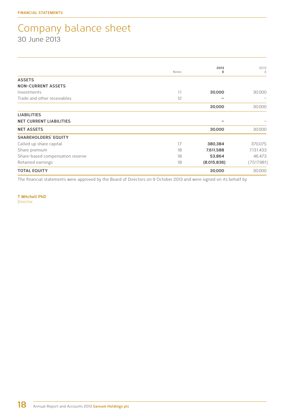### Company balance sheet 30 June 2013

|                                  | Notes | 2013<br>£   | 2012<br>£   |
|----------------------------------|-------|-------------|-------------|
| <b>ASSETS</b>                    |       |             |             |
| <b>NON-CURRENT ASSETS</b>        |       |             |             |
| Investments                      | 11    | 30,000      | 30,000      |
| Trade and other receivables      | 12    |             |             |
|                                  |       | 30,000      | 30,000      |
| <b>LIABILITIES</b>               |       |             |             |
| <b>NET CURRENT LIABILITIES</b>   |       |             |             |
| <b>NET ASSETS</b>                |       | 30,000      | 30,000      |
| <b>SHAREHOLDERS' EQUITY</b>      |       |             |             |
| Called up share capital          | 17    | 380,384     | 370,075     |
| Share premium                    | 18    | 7,611,588   | 7,131,433   |
| Share-based compensation reserve | 18    | 53,864      | 46,473      |
| Retained earnings                | 18    | (8,015,836) | (7,517,981) |
| <b>TOTAL EQUITY</b>              |       | 30,000      | 30,000      |

The financial statements were approved by the Board of Directors on 9 October 2013 and were signed on its behalf by:

**T Mitchell PhD** Director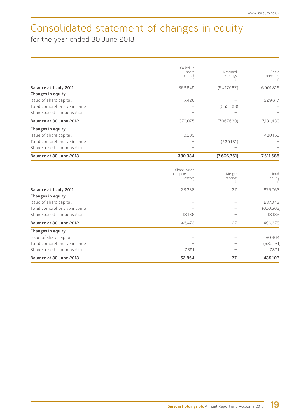# Consolidated statement of changes in equity

|                            | Called up<br>share<br>capital | Retained<br>earnings | Share<br>premium |
|----------------------------|-------------------------------|----------------------|------------------|
|                            | £                             | £                    | £                |
| Balance at 1 July 2011     | 362,649                       | (6,417,067)          | 6,901,816        |
| Changes in equity          |                               |                      |                  |
| Issue of share capital     | 7.426                         |                      | 229,617          |
| Total comprehensive income |                               | (650, 563)           |                  |
| Share-based compensation   |                               |                      |                  |
| Balance at 30 June 2012    | 370,075                       | (7,067,630)          | 7,131,433        |
| Changes in equity          |                               |                      |                  |
| Issue of share capital     | 10,309                        |                      | 480.155          |
| Total comprehensive income |                               | (539, 131)           |                  |
| Share-based compensation   |                               |                      |                  |
| Balance at 30 June 2013    | 380,384                       | (7,606,761)          | 7,611,588        |
|                            |                               |                      |                  |
|                            | Share-based                   |                      | Total            |
|                            | compensation<br>reserve       | Merger<br>reserve    | equity           |
|                            | £                             | £                    | £                |
| Balance at 1 July 2011     | 28,338                        | 27                   | 875.763          |
| Changes in equity          |                               |                      |                  |
| Issue of share capital     |                               |                      | 237,043          |
| Total comprehensive income |                               |                      | (650, 563)       |
| Share-based compensation   | 18.135                        |                      | 18.135           |
| Balance at 30 June 2012    | 46,473                        | 27                   | 480,378          |
| Changes in equity          |                               |                      |                  |
| Issue of share capital     |                               |                      | 490,464          |
| Total comprehensive income |                               |                      | (539, 131)       |
| Share-based compensation   | 7.391                         |                      | 7.391            |
| Balance at 30 June 2013    | 53,864                        | 27                   | 439,102          |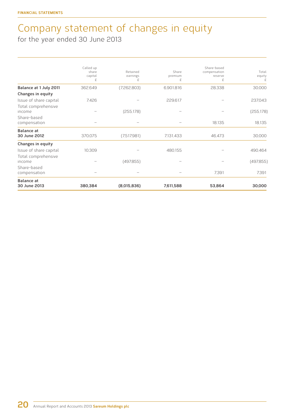# Company statement of changes in equity

|                                   | Called up<br>share<br>capital<br>£ | Retained<br>earnings<br>£ | Share<br>premium<br>£ | Share-based<br>compensation<br>reserve<br>£ | Total<br>equity<br>£ |
|-----------------------------------|------------------------------------|---------------------------|-----------------------|---------------------------------------------|----------------------|
| Balance at 1 July 2011            | 362,649                            | (7,262,803)               | 6,901,816             | 28,338                                      | 30,000               |
| Changes in equity                 |                                    |                           |                       |                                             |                      |
| Issue of share capital            | 7,426                              |                           | 229,617               |                                             | 237,043              |
| Total comprehensive<br>income     |                                    | (255, 178)                |                       |                                             | (255, 178)           |
| Share-based<br>compensation       |                                    |                           |                       | 18,135                                      | 18,135               |
| <b>Balance at</b><br>30 June 2012 | 370,075                            | (7,517,981)               | 7,131,433             | 46,473                                      | 30,000               |
| Changes in equity                 |                                    |                           |                       |                                             |                      |
| Issue of share capital            | 10,309                             |                           | 480.155               |                                             | 490,464              |
| Total comprehensive<br>income     |                                    | (497.855)                 |                       |                                             | (497, 855)           |
| Share-based<br>compensation       |                                    |                           |                       | 7,391                                       | 7,391                |
| <b>Balance at</b><br>30 June 2013 | 380,384                            | (8,015,836)               | 7,611,588             | 53,864                                      | 30,000               |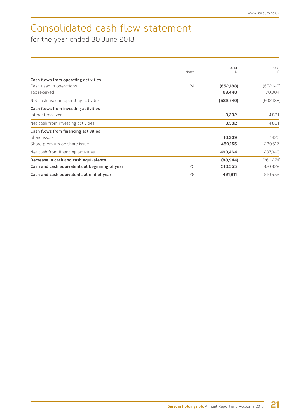## Consolidated cash flow statement

|                                                |       | 2013       | 2012       |
|------------------------------------------------|-------|------------|------------|
|                                                | Notes | £          | £          |
| Cash flows from operating activities           |       |            |            |
| Cash used in operations                        | 24    | (652, 188) | (672, 142) |
| Tax received                                   |       | 69,448     | 70,004     |
| Net cash used in operating activities          |       | (582,740)  | (602, 138) |
| Cash flows from investing activities           |       |            |            |
| Interest received                              |       | 3,332      | 4,821      |
| Net cash from investing activities             |       | 3,332      | 4,821      |
| Cash flows from financing activities           |       |            |            |
| Share issue                                    |       | 10,309     | 7.426      |
| Share premium on share issue                   |       | 480,155    | 229,617    |
| Net cash from financing activities             |       | 490,464    | 237,043    |
| Decrease in cash and cash equivalents          |       | (88, 944)  | (360, 274) |
| Cash and cash equivalents at beginning of year | 25    | 510,555    | 870,829    |
| Cash and cash equivalents at end of year       | 25    | 421,611    | 510,555    |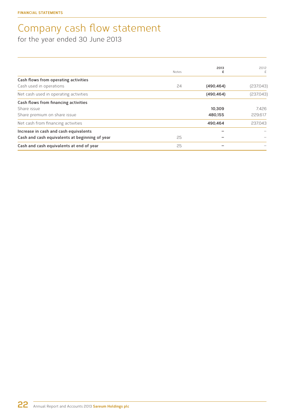# Company cash flow statement

|                                                |       | 2013       | 2012      |
|------------------------------------------------|-------|------------|-----------|
|                                                | Notes | £          | £         |
| Cash flows from operating activities           |       |            |           |
| Cash used in operations                        | 24    | (490, 464) | (237,043) |
| Net cash used in operating activities          |       | (490, 464) | (237,043) |
| Cash flows from financing activities           |       |            |           |
| Share issue                                    |       | 10.309     | 7.426     |
| Share premium on share issue                   |       | 480,155    | 229.617   |
| Net cash from financing activities             |       | 490,464    | 237.043   |
| Increase in cash and cash equivalents          |       |            |           |
| Cash and cash equivalents at beginning of year | 25    |            |           |
| Cash and cash equivalents at end of year       | 25    |            |           |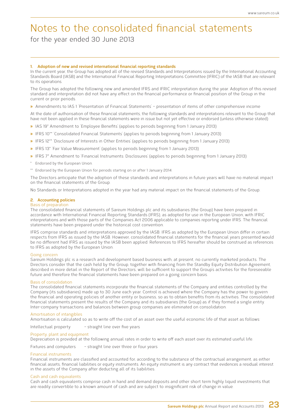# Notes to the consolidated financial statements

for the year ended 30 June 2013

### **1. Adoption of new and revised international financial reporting standards**

In the current year, the Group has adopted all of the revised Standards and Interpretations issued by the International Accounting Standards Board (IASB) and the International Financial Reporting Interpretations Committee (IFRIC) of the IASB that are relevant to its operations.

The Group has adopted the following new and amended IFRS and IFRIC interpretation during the year. Adoption of this revised standard and interpretation did not have any effect on the financial performance or financial position of the Group in the current or prior periods.

**»** Amendments to IAS 1 'Presentation of Financial Statements' – presentation of items of other comprehensive income

At the date of authorisation of these financial statements, the following standards and interpretations relevant to the Group that have not been applied in these financial statements were in issue but not yet effective or endorsed (unless otherwise stated):

- **»** IAS 19\* Amendment to 'Employee Benefits' (applies to periods beginning from 1 January 2013)
- **»** IFRS 10\*\* 'Consolidated Financial Statements' (applies to periods beginning from 1 January 2013)
- **»** IFRS 12\*\* 'Disclosure of Interests in Other Entities' (applies to periods beginning from 1 January 2013)
- **»** IFRS 13\* 'Fair Value Measurement' (applies to periods beginning from 1 January 2013)
- **»** IFRS 7\* Amendment to 'Financial Instruments: Disclosures' (applies to periods beginning from 1 January 2013)
- \* Endorsed by the European Union.
- \*\* Endorsed by the European Union for periods starting on or after 1 January 2014.

The Directors anticipate that the adoption of these standards and interpretations in future years will have no material impact on the financial statements of the Group.

No Standards or Interpretations adopted in the year had any material impact on the financial statements of the Group.

### **2. Accounting policies**

### Basis of preparation

The consolidated financial statements of Sareum Holdings plc and its subsidiaries (the Group) have been prepared in accordance with International Financial Reporting Standards (IFRS), as adopted for use in the European Union, with IFRIC interpretations and with those parts of the Companies Act 2006 applicable to companies reporting under IFRS. The financial statements have been prepared under the historical cost convention.

IFRS comprise standards and interpretations approved by the IASB. IFRS as adopted by the European Union differ in certain respects from IFRS as issued by the IASB. However, consolidated financial statements for the financial years presented would be no different had IFRS as issued by the IASB been applied. References to IFRS hereafter should be construed as references to IFRS as adopted by the European Union.

### Going concern

Sareum Holdings plc is a research and development based business with, at present, no currently marketed products. The Directors consider that the cash held by the Group, together with financing from the Standby Equity Distribution Agreement, described in more detail in the Report of the Directors, will be sufficient to support the Group's activities for the foreseeable future and therefore the financial statements have been prepared on a going concern basis.

### Basis of consolidation

The consolidated financial statements incorporate the financial statements of the Company and entities controlled by the Company (its subsidiaries) made up to 30 June each year. Control is achieved where the Company has the power to govern the financial and operating policies of another entity or business, so as to obtain benefits from its activities. The consolidated financial statements present the results of the Company and its subsidiaries (the Group) as if they formed a single entity. Inter‑company transactions and balances between group companies are eliminated on consolidation.

### Amortisation of intangibles

Amortisation is calculated so as to write off the cost of an asset over the useful economic life of that asset as follows:

Intellectual property – straight line over five years

### Property, plant and equipment

Depreciation is provided at the following annual rates in order to write off each asset over its estimated useful life.

Fixtures and computers – straight line over three or four years

### Financial instruments

Financial instruments are classified and accounted for, according to the substance of the contractual arrangement, as either financial assets, financial liabilities or equity instruments. An equity instrument is any contract that evidences a residual interest in the assets of the Company after deducting all of its liabilities.

### Cash and cash equivalents

Cash and cash equivalents comprise cash in hand and demand deposits and other short term highly liquid investments that are readily convertible to a known amount of cash and are subject to insignificant risk of change in value.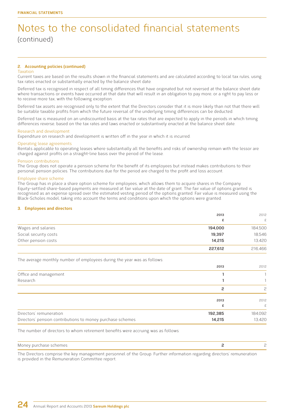# Notes to the consolidated financial statements

(continued)

### **2. Accounting policies (continued)**

### Taxation

Current taxes are based on the results shown in the financial statements and are calculated according to local tax rules, using tax rates enacted or substantially enacted by the balance sheet date.

Deferred tax is recognised in respect of all timing differences that have originated but not reversed at the balance sheet date where transactions or events have occurred at that date that will result in an obligation to pay more, or a right to pay less or to receive more tax, with the following exception:

Deferred tax assets are recognised only to the extent that the Directors consider that it is more likely than not that there will be suitable taxable profits from which the future reversal of the underlying timing differences can be deducted.

Deferred tax is measured on an undiscounted basis at the tax rates that are expected to apply in the periods in which timing differences reverse, based on the tax rates and laws enacted or substantively enacted at the balance sheet date.

### Research and development

Expenditure on research and development is written off in the year in which it is incurred.

### Operating lease agreements

Rentals applicable to operating leases where substantially all the benefits and risks of ownership remain with the lessor are charged against profits on a straight-line basis over the period of the lease.

### Pension contributions

The Group does not operate a pension scheme for the benefit of its employees but instead makes contributions to their personal pension policies. The contributions due for the period are charged to the profit and loss account.

### Employee share scheme

The Group has in place a share option scheme for employees, which allows them to acquire shares in the Company. Equity‑settled share‑based payments are measured at fair value at the date of grant. The fair value of options granted is recognised as an expense spread over the estimated vesting period of the options granted. Fair value is measured using the Black‑Scholes model, taking into account the terms and conditions upon which the options were granted.

### **3. Employees and directors**

|                       | 2013    | 2012    |
|-----------------------|---------|---------|
|                       |         | £       |
| Wages and salaries    | 194,000 | 184,500 |
| Social security costs | 19,397  | 18,546  |
| Other pension costs   | 14.215  | 13,420  |
|                       | 227,612 | 216,466 |

The average monthly number of employees during the year was as follows:

|                                                            | 2013    | 2012    |
|------------------------------------------------------------|---------|---------|
| Office and management                                      |         |         |
| Research                                                   |         |         |
|                                                            | 2       | 2       |
|                                                            | 2013    | 2012    |
|                                                            | £       | £       |
| Directors' remuneration                                    | 192,385 | 184,092 |
| Directors' pension contributions to money purchase schemes | 14,215  | 13,420  |

The number of directors to whom retirement benefits were accruing was as follows:

| chemes<br>Money purchase sc |  |
|-----------------------------|--|
|                             |  |

The Directors comprise the key management personnel of the Group. Further information regarding directors' remuneration is provided in the Remuneration Committee report.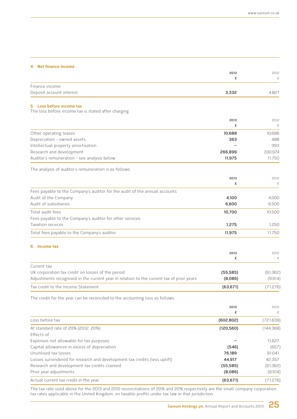### **4. Net finance income**

|                          | 2013  | 2012  |
|--------------------------|-------|-------|
|                          |       |       |
| Finance income:          |       |       |
| Deposit account interest | 3,332 | 1.821 |
|                          |       |       |

### **5. Loss before income tax**

The loss before income tax is stated after charging:

|                                             | 2013    | 2012    |
|---------------------------------------------|---------|---------|
|                                             |         | £       |
| Other operating leases                      | 10,688  | 10,686  |
| Depreciation - owned assets                 | 363     | 488     |
| Intellectual property amortisation          |         | 393     |
| Research and development                    | 266,899 | 330.974 |
| Auditor's remuneration - see analysis below | 11.975  | 11.750  |

The analysis of auditor's remuneration is as follows:

|                                                                            | 2013<br>£ | 2012   |
|----------------------------------------------------------------------------|-----------|--------|
|                                                                            |           | £      |
| Fees payable to the Company's auditor for the audit of the annual accounts |           |        |
| Audit of the Company                                                       | 4,100     | 4,000  |
| Audit of subsidiaries                                                      | 6,600     | 6,500  |
| Total audit fees                                                           | 10,700    | 10.500 |
| Fees payable to the Company's auditor for other services                   |           |        |
| Taxation services                                                          | 1.275     | 1.250  |
| Total fees payable to the Company's auditor                                | 11,975    | 11.750 |

### **6. Income tax**

|                                                                                          | 2013      | 2012          |
|------------------------------------------------------------------------------------------|-----------|---------------|
|                                                                                          |           | $\mathcal{F}$ |
| Current tax:                                                                             |           |               |
| UK corporation tax credit on losses of the period                                        | (55, 585) | (61,362)      |
| Adjustments recognised in the current year in relation to the current tax of prior years | (8,086)   | (9.914)       |
| Tax credit to the Income Statement                                                       | (63, 671) | (71, 276)     |

The credit for the year can be reconciled to the accounting loss as follows:

|                                                                           | 2013<br>£  | 2012       |
|---------------------------------------------------------------------------|------------|------------|
|                                                                           |            | £          |
| Loss before tax                                                           | (602, 802) | (721, 839) |
| At standard rate of 20% (2012: 20%)                                       | (120, 560) | (144, 368) |
| Effects of:                                                               |            |            |
| Expenses not allowable for tax purposes                                   |            | 11.627     |
| Capital allowances in excess of depreciation                              | (546)      | (657)      |
| Unutilised tax losses                                                     | 76.189     | 91.041     |
| Losses surrendered for research and development tax credits (less uplift) | 44,917     | 42.357     |
| Research and development tax credits claimed                              | (55, 585)  | (61, 362)  |
| Prior year adjustments                                                    | (8,086)    | (9,914)    |
| Actual current tax credit in the year                                     | (63, 671)  | (71, 276)  |

The tax rate used above for the 2013 and 2012 reconciliations of 20% and 20% respectively are the small company corporation tax rates applicable in the United Kingdom, on taxable profits under tax law in that jurisdiction.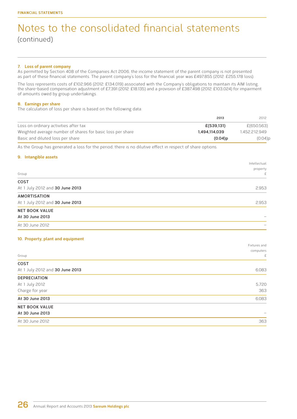# Notes to the consolidated financial statements

(continued)

### **7. Loss of parent company**

As permitted by Section 408 of the Companies Act 2006, the income statement of the parent company is not presented as part of these financial statements. The parent company's loss for the financial year was £497,855 (2012: £255,178 loss).

The loss represents costs of £102,966 (2012: £134,019) associated with the Company's obligations to maintain its AIM listing, the share‑based compensation adjustment of £7,391 (2012: £18,135) and a provision of £387,498 (2012: £103,024) for impairment of amounts owed by group undertakings.

### **8. Earnings per share**

The calculation of loss per share is based on the following data:

|                                                                                                            | 2013          | 2012          |
|------------------------------------------------------------------------------------------------------------|---------------|---------------|
| Loss on ordinary activities after tax                                                                      | £(539,131)    | £(650,563)    |
| Weighted average number of shares for basic loss per share                                                 | 1,494,114,039 | 1,452,212,949 |
| Basic and diluted loss per share                                                                           | $(0.04)$ p    | (0.04)p       |
| As the Group has generated a loss for the period, there is no dilutive effect in respect of share options. |               |               |
| 9. Intangible assets                                                                                       |               |               |
|                                                                                                            |               | Intellectual  |

| Group                                                  | property<br>£ |
|--------------------------------------------------------|---------------|
| COST                                                   |               |
| At 1 July 2012 and 30 June 2013                        | 2,953         |
| <b>AMORTISATION</b><br>At 1 July 2012 and 30 June 2013 | 2,953         |
| <b>NET BOOK VALUE</b>                                  |               |
| At 30 June 2013                                        |               |
| At 30 June 2012                                        |               |

### **10. Property, plant and equipment**

|                                 | Fixtures and |
|---------------------------------|--------------|
|                                 | computers    |
| Group                           | £            |
| COST                            |              |
| At 1 July 2012 and 30 June 2013 | 6,083        |
| <b>DEPRECIATION</b>             |              |
| At 1 July 2012                  | 5,720        |
| Charge for year                 | 363          |
| At 30 June 2013                 | 6,083        |
| <b>NET BOOK VALUE</b>           |              |
| At 30 June 2013                 |              |
| At 30 June 2012                 | 363          |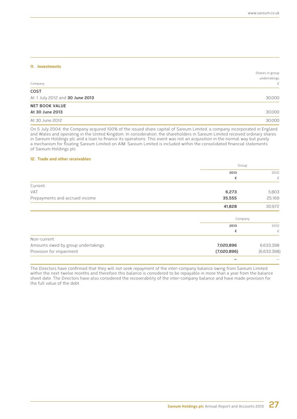### **11. Investments**

|                                 | Shares in group |
|---------------------------------|-----------------|
|                                 | undertakings    |
| Company                         | £               |
| COST                            |                 |
| At 1 July 2012 and 30 June 2013 | 30,000          |
| <b>NET BOOK VALUE</b>           |                 |
| At 30 June 2013                 | 30,000          |
| At 30 June 2012                 | 30,000          |

On 5 July 2004, the Company acquired 100% of the issued share capital of Sareum Limited, a company incorporated in England and Wales and operating in the United Kingdom. In consideration, the shareholders in Sareum Limited received ordinary shares in Sareum Holdings plc and a loan to finance its operations. This event was not an acquisition in the normal way but purely a mechanism for floating Sareum Limited on AIM. Sareum Limited is included within the consolidated financial statements of Sareum Holdings plc.

#### **12. Trade and other receivables**

|                                    | Group       |             |
|------------------------------------|-------------|-------------|
|                                    | 2013        | 2012        |
|                                    | £           | £           |
| Current:                           |             |             |
| <b>VAT</b>                         | 6,273       | 5,803       |
| Prepayments and accrued income     | 35,555      | 25,169      |
|                                    | 41,828      | 30,972      |
|                                    | Company     |             |
|                                    | 2013        | 2012        |
|                                    | £           | £           |
| Non-current:                       |             |             |
| Amounts owed by group undertakings | 7,020,896   | 6,633,398   |
| Provision for impairment           | (7,020,896) | (6,633,398) |
|                                    |             |             |

The Directors have confirmed that they will not seek repayment of the inter-company balance owing from Sareum Limited within the next twelve months and therefore this balance is considered to be repayable in more than a year from the balance sheet date. The Directors have also considered the recoverability of the inter-company balance and have made provision for the full value of the debt.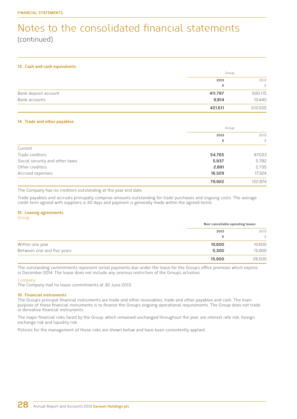# Notes to the consolidated financial statements

(continued)

### **13. Cash and cash equivalents**

|                      |         | Group   |  |
|----------------------|---------|---------|--|
|                      | 2013    | 2012    |  |
|                      |         | £       |  |
| Bank deposit account | 411,797 | 500,115 |  |
| Bank accounts        | 9,814   | 10,440  |  |
|                      | 421,611 | 510,555 |  |

### **14. Trade and other payables**

|                                 | Group  |           |  |
|---------------------------------|--------|-----------|--|
|                                 | 2013   | 2012<br>£ |  |
|                                 | £      |           |  |
| Current:                        |        |           |  |
| Trade creditors                 | 54,765 | 97,033    |  |
| Social security and other taxes | 5,937  | 5,782     |  |
| Other creditors                 | 2,891  | 2,735     |  |
| Accrued expenses                | 16,329 | 17,324    |  |
|                                 | 79,922 | 122,874   |  |

The Company has no creditors outstanding at the year end date.

Trade payables and accruals principally comprise amounts outstanding for trade purchases and ongoing costs. The average credit term agreed with suppliers is 30 days and payment is generally made within the agreed terms.

### **15. Leasing agreements**

Group

|                            |        | Non-cancellable operating leases |  |
|----------------------------|--------|----------------------------------|--|
|                            | 2013   | 2012                             |  |
|                            |        | £                                |  |
| Within one year            | 10,600 | 10,600                           |  |
| Between one and five years | 5,300  | 15,900                           |  |
|                            | 15,900 | 26,500                           |  |

The outstanding commitments represent rental payments due under the lease for the Group's office premises which expires in December 2014. The lease does not include any onerous restriction of the Group's activities.

### Company

The Company had no lease commitments at 30 June 2013.

### **16. Financial instruments**

The Group's principal financial instruments are trade and other receivables, trade and other payables and cash. The main purpose of these financial instruments is to finance the Group's ongoing operational requirements. The Group does not trade in derivative financial instruments.

The major financial risks faced by the Group, which remained unchanged throughout the year, are interest rate risk, foreign exchange risk and liquidity risk.

Policies for the management of these risks are shown below and have been consistently applied.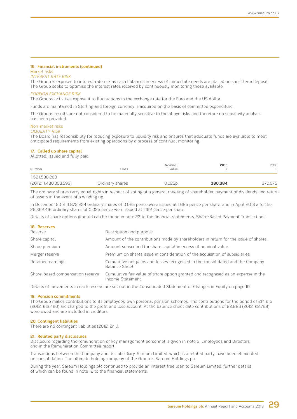### **16. Financial instruments (continued)**

#### Market risks *INTEREST RATE RISK*

The Group is exposed to interest rate risk as cash balances in excess of immediate needs are placed on short term deposit. The Group seeks to optimise the interest rates received by continuously monitoring those available.

### *FOREIGN EXCHANGE RISK*

The Group's activities expose it to fluctuations in the exchange rate for the Euro and the US dollar.

Funds are maintained in Sterling and foreign currency is acquired on the basis of committed expenditure.

The Group's results are not considered to be materially sensitive to the above risks and therefore no sensitivity analysis has been provided.

### Non‑market risks

### *LIQUIDITY RISK*

The Board has responsibility for reducing exposure to liquidity risk and ensures that adequate funds are available to meet anticipated requirements from existing operations by a process of continual monitoring.

### **17. Called up share capital**

Allotted, issued and fully paid:

| Number                | Class           | Nominal<br>value | 2013    | 2012<br>c |
|-----------------------|-----------------|------------------|---------|-----------|
| 1,521,538,263         |                 |                  |         |           |
| (2012: 1,480,303,593) | Ordinary shares | 0.025p           | 380,384 | 370,075   |

The ordinary shares carry equal rights in respect of voting at a general meeting of shareholder, payment of dividends and return of assets in the event of a winding up.

In December 2012 11,872,254 ordinary shares of 0.025 pence were issued at 1.685 pence per share, and in April 2013 a further 29,362,416 ordinary shares of 0.025 pence were issued at 1.192 pence per share.

Details of share options granted can be found in note 23 to the financial statements, Share-Based Payment Transactions.

| 18. Reserves                     |                                                                                                        |
|----------------------------------|--------------------------------------------------------------------------------------------------------|
| Reserve                          | Description and purpose.                                                                               |
| Share capital                    | Amount of the contributions made by shareholders in return for the issue of shares.                    |
| Share premium                    | Amount subscribed for share capital in excess of nominal value.                                        |
| Merger reserve                   | Premium on shares issue in consideration of the acquisition of subsidiaries.                           |
| Retained earnings                | Cumulative net gains and losses recognised in the consolidated and the Company<br>Balance Sheet        |
| Share-based compensation reserve | Cumulative fair value of share option granted and recognised as an expense in the<br>Income Statement. |

Details of movements in each reserve are set out in the Consolidated Statement of Changes in Equity on page 19.

### **19. Pension commitments**

The Group makes contributions to its employees' own personal pension schemes. The contributions for the period of £14,215 (2012: £13,420) are charged to the profit and loss account. At the balance sheet date contributions of £2,886 (2012: £2,729) were owed and are included in creditors.

### **20. Contingent liabilities**

There are no contingent liabilities (2012: £nil).

### **21. Related party disclosures**

Disclosure regarding the remuneration of key management personnel is given in note 3, Employees and Directors, and in the Remuneration Committee report.

Transactions between the Company and its subsidiary, Sareum Limited, which is a related party, have been eliminated on consolidation. The ultimate holding company of the Group is Sareum Holdings plc.

During the year, Sareum Holdings plc continued to provide an interest free loan to Sareum Limited, further details of which can be found in note 12 to the financial statements.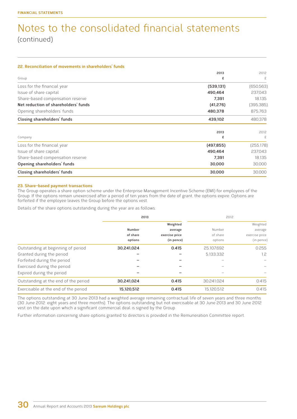### Notes to the consolidated financial statements (continued)

### **22. Reconciliation of movements in shareholders' funds**

|                                      | 2013       | 2012       |
|--------------------------------------|------------|------------|
| Group                                | £          | £          |
| Loss for the financial year          | (539, 131) | (650, 563) |
| Issue of share capital               | 490,464    | 237.043    |
| Share-based compensation reserve     | 7,391      | 18.135     |
| Net reduction of shareholders' funds | (41, 276)  | (395, 385) |
| Opening shareholders' funds          | 480,378    | 875,763    |
| Closing shareholders' funds          | 439,102    | 480,378    |
|                                      | 2013       | 2012       |
| Company                              | £          | £          |
| Loss for the financial year          | (497, 855) | (255, 178) |
| Issue of share capital               | 490,464    | 237,043    |
| Share-based compensation reserve     | 7,391      | 18,135     |
| Opening shareholders' funds          | 30,000     | 30,000     |
| Closing shareholders' funds          | 30,000     | 30.000     |

### **23. Share‑based payment transactions**

The Group operates a share option scheme under the Enterprise Management Incentive Scheme (EMI) for employees of the Group. If the options remain unexercised after a period of ten years from the date of grant, the options expire. Options are forfeited if the employee leaves the Group before the options vest.

Details of the share options outstanding during the year are as follows:

|                                      | 2013          |                | 2012       |                |
|--------------------------------------|---------------|----------------|------------|----------------|
|                                      |               | Weighted       |            | Weighted       |
|                                      | <b>Number</b> | average        | Number     | average        |
|                                      | of share      | exercise price | of share   | exercise price |
|                                      | options       | (in pence)     | options    | (in pence)     |
| Outstanding at beginning of period   | 30,241,024    | 0.415          | 25.107.692 | 0.255          |
| Granted during the period            |               |                | 5.133.332  | 1.2            |
| Forfeited during the period          |               |                |            |                |
| Exercised during the period          |               |                |            |                |
| Expired during the period            |               |                |            |                |
| Outstanding at the end of the period | 30,241,024    | 0.415          | 30.241.024 | 0.415          |
| Exercisable at the end of the period | 15,120,512    | 0.415          | 15.120.512 | 0.415          |

The options outstanding at 30 June 2013 had a weighted average remaining contractual life of seven years and three months (30 June 2012: eight years and three months). The options outstanding but not exercisable at 30 June 2013 and 30 June 2012 vest on the date upon which a significant commercial deal is signed by the Group.

Further information concerning share options granted to directors is provided in the Remuneration Committee report.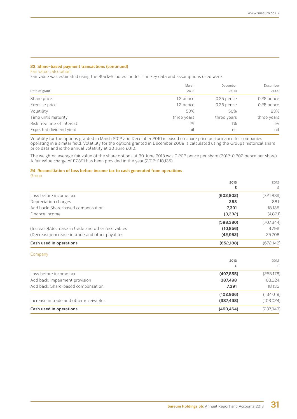### **23. Share‑based payment transactions (continued)**

### Fair value calculation

Fair value was estimated using the Black-Scholes model. The key data and assumptions used were:

|                            | March       | December    | December    |
|----------------------------|-------------|-------------|-------------|
| Date of grant              | 2012        | 2010        | 2009        |
| Share price                | 1.2 pence   | 0.25 pence  | 0.25 pence  |
| Exercise price             | 1.2 pence   | 0.26 pence  | 0.25 pence  |
| Volatility                 | 50%         | 50%         | 83%         |
| Time until maturity        | three years | three years | three years |
| Risk free rate of interest | 1%          | 1%          | 1%          |
| Expected dividend yield    | nil         | nil         | nil         |

Volatility for the options granted in March 2012 and December 2010 is based on share price performance for companies operating in a similar field. Volatility for the options granted in December 2009 is calculated using the Group's historical share price data and is the annual volatility at 30 June 2010.

The weighted average fair value of the share options at 30 June 2013 was 0.202 pence per share (2012: 0.202 pence per share). A fair value charge of £7,391 has been provided in the year (2012: £18,135).

### **24. Reconciliation of loss before income tax to cash generated from operations** Group

|                                                    | 2013       | 2012          |
|----------------------------------------------------|------------|---------------|
|                                                    | £          | $\mathcal{F}$ |
| Loss before income tax                             | (602, 802) | (721, 839)    |
| Depreciation charges                               | 363        | 881           |
| Add back: Share-based compensation                 | 7.391      | 18,135        |
| Finance income                                     | (3,332)    | (4,821)       |
|                                                    | (598, 380) | (707, 644)    |
| (Increase)/decrease in trade and other receivables | (10, 856)  | 9.796         |
| (Decrease)/increase in trade and other payables    | (42, 952)  | 25,706        |
| Cash used in operations                            | (652,188)  | (672, 142)    |

Company

|                                         | 2013       | 2012         |
|-----------------------------------------|------------|--------------|
|                                         | £          | $\mathbf{f}$ |
| Loss before income tax                  | (497, 855) | (255, 178)   |
| Add back: Impairment provision          | 387,498    | 103,024      |
| Add back: Share-based compensation      | 7.391      | 18.135       |
|                                         | (102, 966) | (134, 019)   |
| Increase in trade and other receivables | (387, 498) | (103, 024)   |
| Cash used in operations                 | (490, 464) | (237,043)    |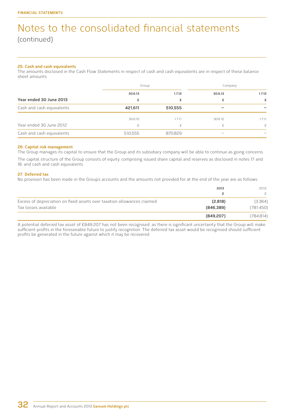# Notes to the consolidated financial statements

(continued)

### **25. Cash and cash equivalents**

The amounts disclosed in the Cash Flow Statements in respect of cash and cash equivalents are in respect of these balance sheet amounts:

|                           | Group   |         |         | Company |  |
|---------------------------|---------|---------|---------|---------|--|
|                           | 30.6.13 | 1.7.12  | 30.6.13 | 1.7.12  |  |
| Year ended 30 June 2013   | £       | £       | £       | £       |  |
| Cash and cash equivalents | 421,611 | 510,555 |         |         |  |
|                           | 30.6.12 | 1.7.11  | 30.6.12 | 1.7.11  |  |
| Year ended 30 June 2012   | £       | £       | £       | £       |  |
| Cash and cash equivalents | 510,555 | 870.829 |         |         |  |

### **26. Capital risk management**

The Group manages its capital to ensure that the Group and its subsidiary company will be able to continue as going concerns.

The capital structure of the Group consists of equity, comprising issued share capital and reserves as disclosed in notes 17 and 18, and cash and cash equivalents.

### **27. Deferred tax**

No provision has been made in the Group's accounts and the amounts not provided for at the end of the year are as follows:

|                                                                         | 2013       | 2012       |
|-------------------------------------------------------------------------|------------|------------|
|                                                                         |            | £.         |
| Excess of depreciation on fixed assets over taxation allowances claimed | (2,818)    | (3,364)    |
| Tax losses available                                                    | (846, 389) | (781, 450) |
|                                                                         | (849, 207) | (784, 814) |

A potential deferred tax asset of £849,207 has not been recognised, as there is significant uncertainty that the Group will make sufficient profits in the foreseeable future to justify recognition. The deferred tax asset would be recognised should sufficient profits be generated in the future against which it may be recovered.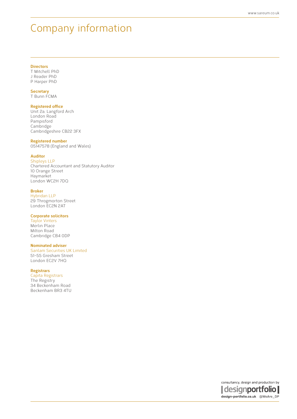## Company information

### **Directors**

T Mitchell PhD J Reader PhD P Harper PhD

### **Secretary**

T Bunn FCMA

### **Registered office**

Unit 2a, Langford Arch London Road Pampisford Cambridge Cambridgeshire CB22 3FX

### **Registered number**

05147578 (England and Wales)

### **Auditor**

Shipleys LLP Chartered Accountant and Statutory Auditor 10 Orange Street Haymarket London WC2H 7DQ

### **Broker**

Hybridan LLP 29 Throgmorton Street London EC2N 2AT

### **Corporate solicitors**

Taylor Vinters Merlin Place Milton Road Cambridge CB4 0DP

### **Nominated adviser**

Sanlam Securities UK Limited 51–55 Gresham Street London EC2V 7HQ

### **Registrars**

Capita Registrars The Registry 34 Beckenham Road Beckenham BR3 4TU